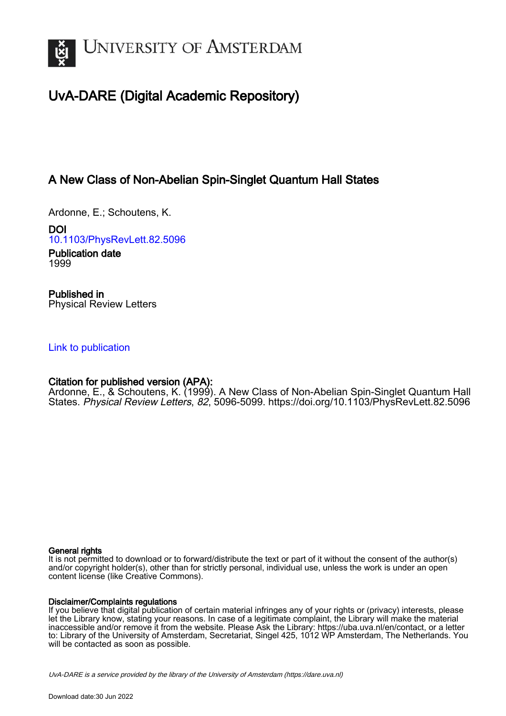

# UvA-DARE (Digital Academic Repository)

## A New Class of Non-Abelian Spin-Singlet Quantum Hall States

Ardonne, E.; Schoutens, K.

DOI [10.1103/PhysRevLett.82.5096](https://doi.org/10.1103/PhysRevLett.82.5096)

Publication date 1999

Published in Physical Review Letters

### [Link to publication](https://dare.uva.nl/personal/pure/en/publications/a-new-class-of-nonabelian-spinsinglet-quantum-hall-states(d91e14b8-8910-44b9-96fe-8663ff318125).html)

### Citation for published version (APA):

Ardonne, E., & Schoutens, K. (1999). A New Class of Non-Abelian Spin-Singlet Quantum Hall States. Physical Review Letters, 82, 5096-5099. <https://doi.org/10.1103/PhysRevLett.82.5096>

#### General rights

It is not permitted to download or to forward/distribute the text or part of it without the consent of the author(s) and/or copyright holder(s), other than for strictly personal, individual use, unless the work is under an open content license (like Creative Commons).

#### Disclaimer/Complaints regulations

If you believe that digital publication of certain material infringes any of your rights or (privacy) interests, please let the Library know, stating your reasons. In case of a legitimate complaint, the Library will make the material inaccessible and/or remove it from the website. Please Ask the Library: https://uba.uva.nl/en/contact, or a letter to: Library of the University of Amsterdam, Secretariat, Singel 425, 1012 WP Amsterdam, The Netherlands. You will be contacted as soon as possible.

UvA-DARE is a service provided by the library of the University of Amsterdam (http*s*://dare.uva.nl)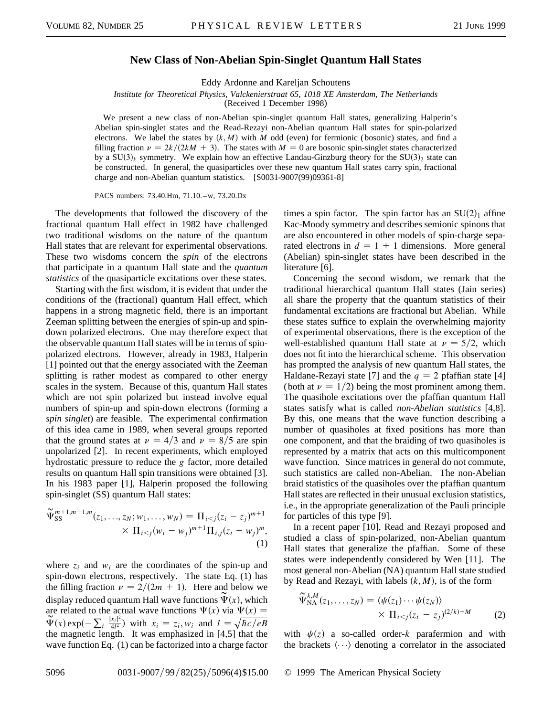### **New Class of Non-Abelian Spin-Singlet Quantum Hall States**

Eddy Ardonne and Kareljan Schoutens

*Institute for Theoretical Physics, Valckenierstraat 65, 1018 XE Amsterdam, The Netherlands*

(Received 1 December 1998)

We present a new class of non-Abelian spin-singlet quantum Hall states, generalizing Halperin's Abelian spin-singlet states and the Read-Rezayi non-Abelian quantum Hall states for spin-polarized electrons. We label the states by  $(k, M)$  with *M* odd (even) for fermionic (bosonic) states, and find a filling fraction  $\nu = 2k/(2kM + 3)$ . The states with  $M = 0$  are bosonic spin-singlet states characterized by a  $SU(3)_k$  symmetry. We explain how an effective Landau-Ginzburg theory for the  $SU(3)_2$  state can be constructed. In general, the quasiparticles over these new quantum Hall states carry spin, fractional charge and non-Abelian quantum statistics. [S0031-9007(99)09361-8]

PACS numbers: 73.40.Hm, 71.10. –w, 73.20.Dx

The developments that followed the discovery of the fractional quantum Hall effect in 1982 have challenged two traditional wisdoms on the nature of the quantum Hall states that are relevant for experimental observations. These two wisdoms concern the *spin* of the electrons that participate in a quantum Hall state and the *quantum statistics* of the quasiparticle excitations over these states.

Starting with the first wisdom, it is evident that under the conditions of the (fractional) quantum Hall effect, which happens in a strong magnetic field, there is an important Zeeman splitting between the energies of spin-up and spindown polarized electrons. One may therefore expect that the observable quantum Hall states will be in terms of spinpolarized electrons. However, already in 1983, Halperin [1] pointed out that the energy associated with the Zeeman splitting is rather modest as compared to other energy scales in the system. Because of this, quantum Hall states which are not spin polarized but instead involve equal numbers of spin-up and spin-down electrons (forming a *spin singlet*) are feasible. The experimental confirmation of this idea came in 1989, when several groups reported that the ground states at  $\nu = 4/3$  and  $\nu = 8/5$  are spin unpolarized [2]. In recent experiments, which employed hydrostatic pressure to reduce the *g* factor, more detailed results on quantum Hall spin transitions were obtained [3]. In his 1983 paper [1], Halperin proposed the following spin-singlet (SS) quantum Hall states:

$$
\widetilde{\Psi}_{\text{SS}}^{m+1,m+1,m}(z_1,\ldots,z_N;w_1,\ldots,w_N) = \Pi_{i < j}(z_i - z_j)^{m+1} \times \Pi_{i < j}(w_i - w_j)^{m+1} \Pi_{i,j}(z_i - w_j)^m,\tag{1}
$$

where  $z_i$  and  $w_i$  are the coordinates of the spin-up and spin-down electrons, respectively. The state Eq. (1) has the filling fraction  $\nu = 2/(2m + 1)$ . Here and below we display reduced quantum Hall wave functions  $\widetilde{\Psi}(x)$ , which are related to the actual wave functions  $\Psi(x)$  via  $\Psi(x)$  =  $\oint_C f(x) \exp(-\sum_i \frac{|x_i|^2}{4l^2})$  with  $x_i = z_i$ ,  $w_i$  and  $l = \sqrt{\hbar c / eB}$ the magnetic length. It was emphasized in [4,5] that the wave function Eq. (1) can be factorized into a charge factor times a spin factor. The spin factor has an  $SU(2)_1$  affine Kac-Moody symmetry and describes semionic spinons that are also encountered in other models of spin-charge separated electrons in  $d = 1 + 1$  dimensions. More general (Abelian) spin-singlet states have been described in the literature [6].

Concerning the second wisdom, we remark that the traditional hierarchical quantum Hall states (Jain series) all share the property that the quantum statistics of their fundamental excitations are fractional but Abelian. While these states suffice to explain the overwhelming majority of experimental observations, there is the exception of the well-established quantum Hall state at  $\nu = 5/2$ , which does not fit into the hierarchical scheme. This observation has prompted the analysis of new quantum Hall states, the Haldane-Rezayi state [7] and the  $q = 2$  pfaffian state [4] (both at  $\nu = 1/2$ ) being the most prominent among them. The quasihole excitations over the pfaffian quantum Hall states satisfy what is called *non-Abelian statistics* [4,8]. By this, one means that the wave function describing a number of quasiholes at fixed positions has more than one component, and that the braiding of two quasiholes is represented by a matrix that acts on this multicomponent wave function. Since matrices in general do not commute, such statistics are called non-Abelian. The non-Abelian braid statistics of the quasiholes over the pfaffian quantum Hall states are reflected in their unusual exclusion statistics, i.e., in the appropriate generalization of the Pauli principle for particles of this type [9].

In a recent paper [10], Read and Rezayi proposed and studied a class of spin-polarized, non-Abelian quantum Hall states that generalize the pfaffian. Some of these states were independently considered by Wen [11]. The most general non-Abelian (NA) quantum Hall state studied by Read and Rezayi, with labels  $(k, M)$ , is of the form

$$
\widetilde{\Psi}_{\text{NA}}^{k,M}(z_1,\ldots,z_N) = \langle \psi(z_1)\cdots\psi(z_N) \rangle \times \Pi_{i < j}(z_i - z_j)^{(2/k)+M}
$$
\n(2)

with  $\psi(z)$  a so-called order-*k* parafermion and with the brackets  $\langle \cdots \rangle$  denoting a correlator in the associated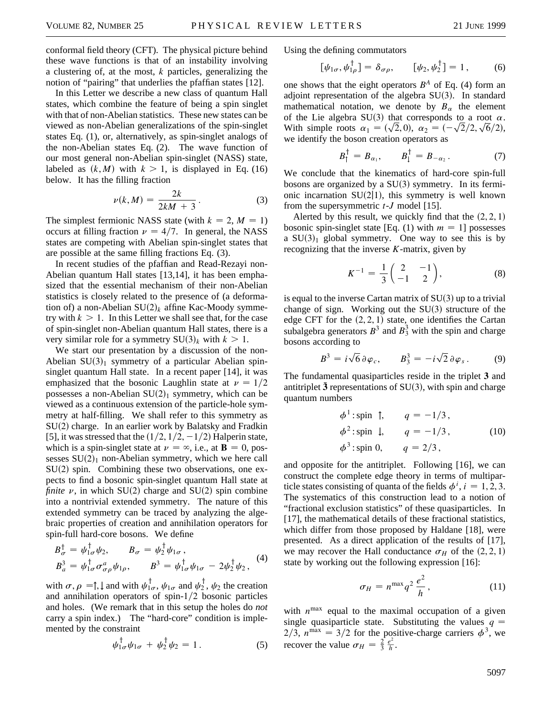conformal field theory (CFT). The physical picture behind these wave functions is that of an instability involving a clustering of, at the most, *k* particles, generalizing the notion of "pairing" that underlies the pfaffian states [12].

In this Letter we describe a new class of quantum Hall states, which combine the feature of being a spin singlet with that of non-Abelian statistics. These new states can be viewed as non-Abelian generalizations of the spin-singlet states Eq. (1), or, alternatively, as spin-singlet analogs of the non-Abelian states Eq. (2). The wave function of our most general non-Abelian spin-singlet (NASS) state, labeled as  $(k, M)$  with  $k > 1$ , is displayed in Eq. (16) below. It has the filling fraction

$$
\nu(k,M) = \frac{2k}{2kM+3}.
$$
\n(3)

The simplest fermionic NASS state (with  $k = 2$ ,  $M = 1$ ) occurs at filling fraction  $\nu = 4/7$ . In general, the NASS states are competing with Abelian spin-singlet states that are possible at the same filling fractions Eq. (3).

In recent studies of the pfaffian and Read-Rezayi non-Abelian quantum Hall states [13,14], it has been emphasized that the essential mechanism of their non-Abelian statistics is closely related to the presence of (a deformation of) a non-Abelian  $SU(2)_k$  affine Kac-Moody symmetry with  $k > 1$ . In this Letter we shall see that, for the case of spin-singlet non-Abelian quantum Hall states, there is a very similar role for a symmetry  $SU(3)_k$  with  $k > 1$ .

We start our presentation by a discussion of the non-Abelian  $SU(3)_1$  symmetry of a particular Abelian spinsinglet quantum Hall state. In a recent paper [14], it was emphasized that the bosonic Laughlin state at  $\nu = 1/2$ possesses a non-Abelian  $SU(2)_1$  symmetry, which can be viewed as a continuous extension of the particle-hole symmetry at half-filling. We shall refer to this symmetry as  $SU(2)$  charge. In an earlier work by Balatsky and Fradkin [5], it was stressed that the  $(1/2, 1/2, -1/2)$  Halperin state, which is a spin-singlet state at  $\nu = \infty$ , i.e., at **B** = 0, possesses  $SU(2)<sub>1</sub>$  non-Abelian symmetry, which we here call  $SU(2)$  spin. Combining these two observations, one expects to find a bosonic spin-singlet quantum Hall state at *finite*  $\nu$ , in which SU(2) charge and SU(2) spin combine into a nontrivial extended symmetry. The nature of this extended symmetry can be traced by analyzing the algebraic properties of creation and annihilation operators for spin-full hard-core bosons. We define

$$
B_{\sigma}^{\dagger} = \psi_{1\sigma}^{\dagger} \psi_{2}, \qquad B_{\sigma} = \psi_{2}^{\dagger} \psi_{1\sigma}, B_{a}^{3} = \psi_{1\sigma}^{\dagger} \sigma_{\sigma\rho}^{a} \psi_{1\rho}, \qquad B^{3} = \psi_{1\sigma}^{\dagger} \psi_{1\sigma} - 2\psi_{2}^{\dagger} \psi_{2},
$$
 (4)

with  $\sigma$ ,  $\rho = \uparrow$ ,  $\downarrow$  and with  $\psi_{1\sigma}^{\dagger}$ ,  $\psi_{1\sigma}$  and  $\psi_{2}^{\dagger}$ ,  $\psi_{2}$  the creation and annihilation operators of spin- $1/2$  bosonic particles and holes. (We remark that in this setup the holes do *not* carry a spin index.) The "hard-core" condition is implemented by the constraint

$$
\psi_{1\sigma}^{\dagger}\psi_{1\sigma} + \psi_{2}^{\dagger}\psi_{2} = 1.
$$
 (5)

Using the defining commutators

$$
[\psi_{1\sigma}, \psi_{1\rho}^{\dagger}] = \delta_{\sigma\rho}, \qquad [\psi_{2}, \psi_{2}^{\dagger}] = 1, \qquad (6)
$$

one shows that the eight operators  $B^A$  of Eq. (4) form an adjoint representation of the algebra  $SU(3)$ . In standard mathematical notation, we denote by  $B_\alpha$  the element of the Lie algebra SU(3) that corresponds to a root  $\alpha$ . of the Lie algebra SU(3) that corresponds to a root  $\alpha$ .<br>With simple roots  $\alpha_1 = (\sqrt{2}, 0), \alpha_2 = (-\sqrt{2}/2, \sqrt{6}/2),$ we identify the boson creation operators as

$$
B_{\uparrow}^{\dagger} = B_{\alpha_1}, \qquad B_{\downarrow}^{\dagger} = B_{-\alpha_2}. \tag{7}
$$

We conclude that the kinematics of hard-core spin-full bosons are organized by a  $SU(3)$  symmetry. In its fermionic incarnation  $SU(2|1)$ , this symmetry is well known from the supersymmetric *t*-*J* model [15].

Alerted by this result, we quickly find that the  $(2, 2, 1)$ bosonic spin-singlet state [Eq. (1) with  $m = 1$ ] possesses a  $SU(3)_1$  global symmetry. One way to see this is by recognizing that the inverse *K*-matrix, given by

$$
K^{-1} = \frac{1}{3} \begin{pmatrix} 2 & -1 \\ -1 & 2 \end{pmatrix}, \tag{8}
$$

is equal to the inverse Cartan matrix of  $SU(3)$  up to a trivial change of sign. Working out the  $SU(3)$  structure of the edge CFT for the  $(2, 2, 1)$  state, one identifies the Cartan subalgebra generators  $B^3$  and  $B_3^3$  with the spin and charge bosons according to

$$
B^3 = i\sqrt{6} \,\partial \varphi_c, \qquad B_3^3 = -i\sqrt{2} \,\partial \varphi_s \,. \tag{9}
$$

The fundamental quasiparticles reside in the triplet **3** and antitriplet  $\bar{3}$  representations of SU(3), with spin and charge quantum numbers

$$
\phi^1
$$
: spin  $\uparrow$ ,  $q = -1/3$ ,  
\n $\phi^2$ : spin  $\downarrow$ ,  $q = -1/3$ , (10)  
\n $\phi^3$ : spin 0,  $q = 2/3$ ,

and opposite for the antitriplet. Following [16], we can construct the complete edge theory in terms of multiparticle states consisting of quanta of the fields  $\phi^i$ ,  $i = 1, 2, 3$ . The systematics of this construction lead to a notion of "fractional exclusion statistics" of these quasiparticles. In [17], the mathematical details of these fractional statistics, which differ from those proposed by Haldane [18], were presented. As a direct application of the results of [17], we may recover the Hall conductance  $\sigma_H$  of the  $(2, 2, 1)$ state by working out the following expression [16]:

$$
\sigma_H = n^{\max} q^2 \frac{e^2}{h}, \qquad (11)
$$

with  $n^{max}$  equal to the maximal occupation of a given single quasiparticle state. Substituting the values  $q =$ 2/3,  $n^{\text{max}} = 3/2$  for the positive-charge carriers  $\phi^3$ , we recover the value  $\sigma_H = \frac{2}{3} \frac{e^2}{h}$ .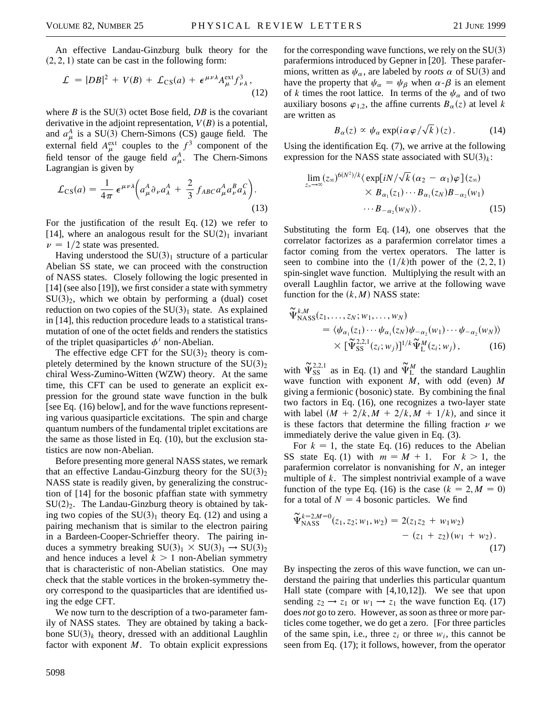An effective Landau-Ginzburg bulk theory for the  $(2, 2, 1)$  state can be cast in the following form:

$$
\mathcal{L} = |DB|^2 + V(B) + \mathcal{L}_{CS}(a) + \epsilon^{\mu\nu\lambda} A_{\mu}^{\text{ext}} f_{\nu\lambda}^3,
$$
\n(12)

where *B* is the  $SU(3)$  octet Bose field, *DB* is the covariant derivative in the adjoint representation,  $V(B)$  is a potential, and  $a^A_\mu$  is a SU(3) Chern-Simons (CS) gauge field. The external field  $A_{\mu}^{\text{ext}}$  couples to the  $f^3$  component of the field tensor of the gauge field  $a_{\mu}^A$ . The Chern-Simons Lagrangian is given by

$$
\mathcal{L}_{CS}(a) = \frac{1}{4\pi} \,\epsilon^{\mu\nu\lambda} \bigg( a^A_\mu \partial_\nu a^A_\lambda + \frac{2}{3} f_{ABC} a^A_\mu a^B_\nu a^C_\lambda \bigg). \tag{13}
$$

For the justification of the result Eq. (12) we refer to [14], where an analogous result for the  $SU(2)_1$  invariant  $\nu = 1/2$  state was presented.

Having understood the  $SU(3)<sub>1</sub>$  structure of a particular Abelian SS state, we can proceed with the construction of NASS states. Closely following the logic presented in [14] (see also [19]), we first consider a state with symmetry  $SU(3)_2$ , which we obtain by performing a (dual) coset reduction on two copies of the  $SU(3)_1$  state. As explained in [14], this reduction procedure leads to a statistical transmutation of one of the octet fields and renders the statistics of the triplet quasiparticles  $\phi^i$  non-Abelian.

The effective edge CFT for the  $SU(3)_2$  theory is completely determined by the known structure of the  $SU(3)_{2}$ chiral Wess-Zumino-Witten (WZW) theory. At the same time, this CFT can be used to generate an explicit expression for the ground state wave function in the bulk [see Eq. (16) below], and for the wave functions representing various quasiparticle excitations. The spin and charge quantum numbers of the fundamental triplet excitations are the same as those listed in Eq. (10), but the exclusion statistics are now non-Abelian.

Before presenting more general NASS states, we remark that an effective Landau-Ginzburg theory for the  $SU(3)_2$ NASS state is readily given, by generalizing the construction of [14] for the bosonic pfaffian state with symmetry  $SU(2)_2$ . The Landau-Ginzburg theory is obtained by taking two copies of the  $SU(3)<sub>1</sub>$  theory Eq. (12) and using a pairing mechanism that is similar to the electron pairing in a Bardeen-Cooper-Schrieffer theory. The pairing induces a symmetry breaking  $SU(3)_1 \times SU(3)_1 \rightarrow SU(3)_2$ and hence induces a level  $k > 1$  non-Abelian symmetry that is characteristic of non-Abelian statistics. One may check that the stable vortices in the broken-symmetry theory correspond to the quasiparticles that are identified using the edge CFT.

We now turn to the description of a two-parameter family of NASS states. They are obtained by taking a backbone  $SU(3)_k$  theory, dressed with an additional Laughlin factor with exponent *M*. To obtain explicit expressions

for the corresponding wave functions, we rely on the  $SU(3)$ parafermions introduced by Gepner in [20]. These parafermions, written as  $\psi_{\alpha}$ , are labeled by *roots*  $\alpha$  of SU(3) and have the property that  $\psi_{\alpha} = \psi_{\beta}$  when  $\alpha$ - $\beta$  is an element of *k* times the root lattice. In terms of the  $\psi_{\alpha}$  and of two auxiliary bosons  $\varphi_{1,2}$ , the affine currents  $B_\alpha(z)$  at level *k* are written as

$$
B_{\alpha}(z) \propto \psi_{\alpha} \exp(i\alpha \varphi/\sqrt{k})(z). \tag{14}
$$

Using the identification Eq. (7), we arrive at the following expression for the NASS state associated with  $SU(3)_k$ :

$$
\lim_{z_{\infty}\to\infty}(z_{\infty})^{6(N^2)/k}\langle \exp[iN/\sqrt{k}(\alpha_2-\alpha_1)\varphi](z_{\infty})\times B_{\alpha_1}(z_1)\cdots B_{\alpha_1}(z_N)B_{-\alpha_2}(w_1)\cdots B_{-\alpha_2}(w_N)\rangle. \tag{15}
$$

Substituting the form Eq. (14), one observes that the correlator factorizes as a parafermion correlator times a factor coming from the vertex operators. The latter is seen to combine into the  $(1/k)$ th power of the  $(2, 2, 1)$ spin-singlet wave function. Multiplying the result with an overall Laughlin factor, we arrive at the following wave function for the  $(k, M)$  NASS state:

$$
\widetilde{\Psi}_{\text{NASS}}^{k,M}(z_1,\ldots,z_N;w_1,\ldots,w_N) \n= \langle \psi_{\alpha_1}(z_1)\cdots\psi_{\alpha_1}(z_N)\psi_{-\alpha_2}(w_1)\cdots\psi_{-\alpha_2}(w_N) \rangle \n\times [\widetilde{\Psi}_{\text{SS}}^{2,2,1}(z_i;w_j)]^{1/k} \widetilde{\Psi}_{\text{L}}^{M}(z_i;w_j),
$$
\n(16)

with  $\tilde{\Psi}_{SS}^{2,2,1}$  as in Eq. (1) and  $\tilde{\Psi}_{L}^{M}$  the standard Laughlin wave function with exponent *M*, with odd (even) *M* giving a fermionic (bosonic) state. By combining the final two factors in Eq. (16), one recognizes a two-layer state with label  $(M + 2/k, M + 2/k, M + 1/k)$ , and since it is these factors that determine the filling fraction  $\nu$  we immediately derive the value given in Eq. (3).

For  $k = 1$ , the state Eq. (16) reduces to the Abelian SS state Eq. (1) with  $m = M + 1$ . For  $k > 1$ , the parafermion correlator is nonvanishing for *N*, an integer multiple of *k*. The simplest nontrivial example of a wave function of the type Eq. (16) is the case  $(k = 2, M = 0)$ for a total of  $N = 4$  bosonic particles. We find

$$
\widetilde{\Psi}_{\text{NASS}}^{k=2,M=0}(z_1, z_2; w_1, w_2) = 2(z_1 z_2 + w_1 w_2) \n- (z_1 + z_2) (w_1 + w_2).
$$
\n(17)

By inspecting the zeros of this wave function, we can understand the pairing that underlies this particular quantum Hall state (compare with [4,10,12]). We see that upon sending  $z_2 \rightarrow z_1$  or  $w_1 \rightarrow z_1$  the wave function Eq. (17) does *not* go to zero. However, as soon as three or more particles come together, we do get a zero. [For three particles of the same spin, i.e., three  $z_i$  or three  $w_i$ , this cannot be seen from Eq. (17); it follows, however, from the operator